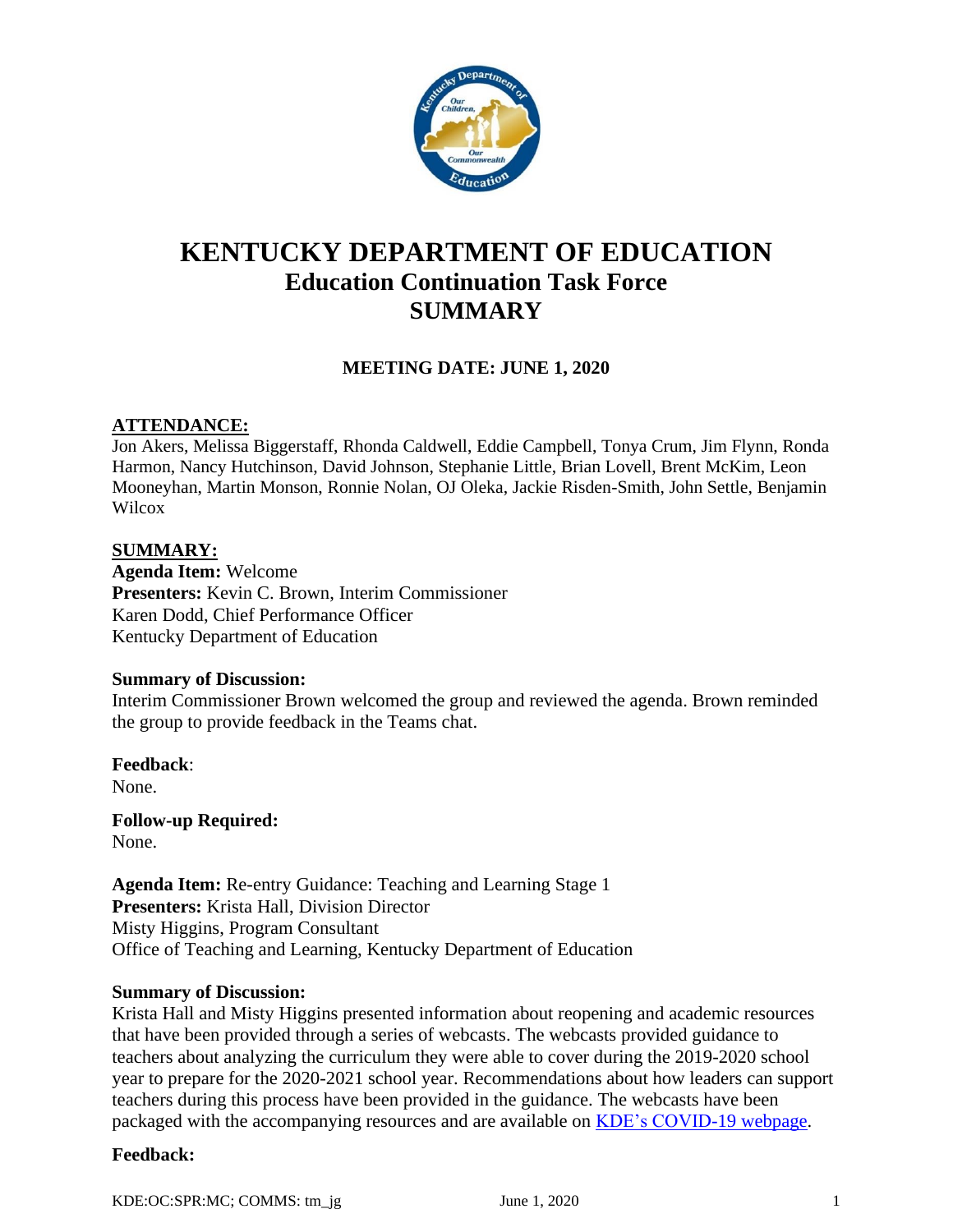

# **KENTUCKY DEPARTMENT OF EDUCATION Education Continuation Task Force SUMMARY**

# **MEETING DATE: JUNE 1, 2020**

## **ATTENDANCE:**

Jon Akers, Melissa Biggerstaff, Rhonda Caldwell, Eddie Campbell, Tonya Crum, Jim Flynn, Ronda Harmon, Nancy Hutchinson, David Johnson, Stephanie Little, Brian Lovell, Brent McKim, Leon Mooneyhan, Martin Monson, Ronnie Nolan, OJ Oleka, Jackie Risden-Smith, John Settle, Benjamin **Wilcox** 

#### **SUMMARY:**

**Agenda Item:** Welcome **Presenters:** Kevin C. Brown, Interim Commissioner Karen Dodd, Chief Performance Officer Kentucky Department of Education

#### **Summary of Discussion:**

Interim Commissioner Brown welcomed the group and reviewed the agenda. Brown reminded the group to provide feedback in the Teams chat.

**Feedback**: None.

**Follow-up Required:** None.

**Agenda Item:** Re-entry Guidance: Teaching and Learning Stage 1 **Presenters:** Krista Hall, Division Director Misty Higgins, Program Consultant Office of Teaching and Learning, Kentucky Department of Education

#### **Summary of Discussion:**

Krista Hall and Misty Higgins presented information about reopening and academic resources that have been provided through a series of webcasts. The webcasts provided guidance to teachers about analyzing the curriculum they were able to cover during the 2019-2020 school year to prepare for the 2020-2021 school year. Recommendations about how leaders can support teachers during this process have been provided in the guidance. The webcasts have been packaged with the accompanying resources and are available on [KDE's COVID-19 webpage.](https://education.ky.gov/comm/Pages/COVID-19-Updates.aspx)

#### **Feedback:**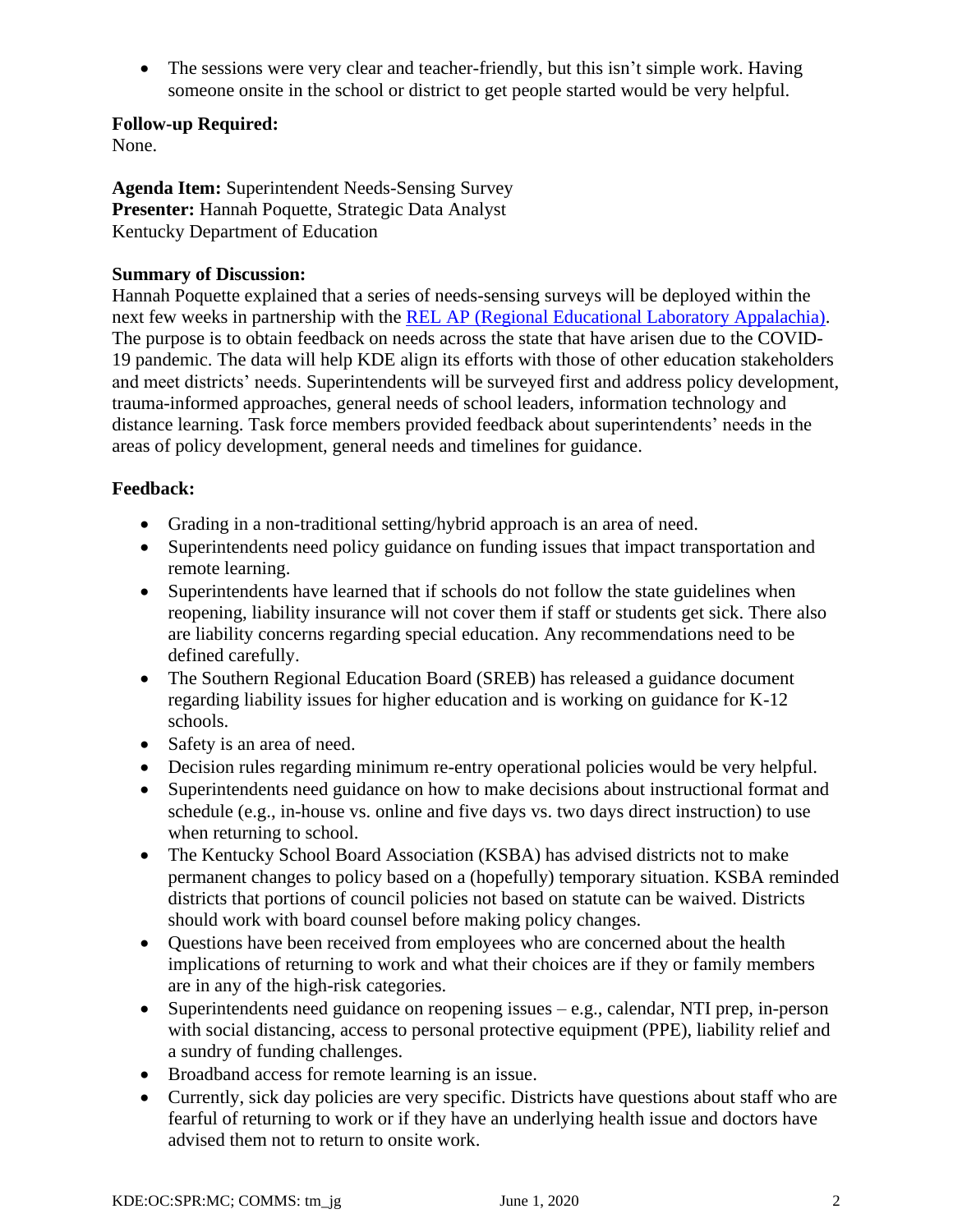• The sessions were very clear and teacher-friendly, but this isn't simple work. Having someone onsite in the school or district to get people started would be very helpful.

#### **Follow-up Required:**

None.

**Agenda Item:** Superintendent Needs-Sensing Survey **Presenter:** Hannah Poquette, Strategic Data Analyst Kentucky Department of Education

#### **Summary of Discussion:**

Hannah Poquette explained that a series of needs-sensing surveys will be deployed within the next few weeks in partnership with the REL [AP \(Regional Educational Laboratory Appalachia\).](https://ies.ed.gov/ncee/edlabs/regions/appalachia/about-the-rel.asp) The purpose is to obtain feedback on needs across the state that have arisen due to the COVID-19 pandemic. The data will help KDE align its efforts with those of other education stakeholders and meet districts' needs. Superintendents will be surveyed first and address policy development, trauma-informed approaches, general needs of school leaders, information technology and distance learning. Task force members provided feedback about superintendents' needs in the areas of policy development, general needs and timelines for guidance.

#### **Feedback:**

- Grading in a non-traditional setting/hybrid approach is an area of need.
- Superintendents need policy guidance on funding issues that impact transportation and remote learning.
- Superintendents have learned that if schools do not follow the state guidelines when reopening, liability insurance will not cover them if staff or students get sick. There also are liability concerns regarding special education. Any recommendations need to be defined carefully.
- The Southern Regional Education Board (SREB) has released a guidance document regarding liability issues for higher education and is working on guidance for K-12 schools.
- Safety is an area of need.
- Decision rules regarding minimum re-entry operational policies would be very helpful.
- Superintendents need guidance on how to make decisions about instructional format and schedule (e.g., in-house vs. online and five days vs. two days direct instruction) to use when returning to school.
- The Kentucky School Board Association (KSBA) has advised districts not to make permanent changes to policy based on a (hopefully) temporary situation. KSBA reminded districts that portions of council policies not based on statute can be waived. Districts should work with board counsel before making policy changes.
- Ouestions have been received from employees who are concerned about the health implications of returning to work and what their choices are if they or family members are in any of the high-risk categories.
- Superintendents need guidance on reopening issues e.g., calendar, NTI prep, in-person with social distancing, access to personal protective equipment (PPE), liability relief and a sundry of funding challenges.
- Broadband access for remote learning is an issue.
- Currently, sick day policies are very specific. Districts have questions about staff who are fearful of returning to work or if they have an underlying health issue and doctors have advised them not to return to onsite work.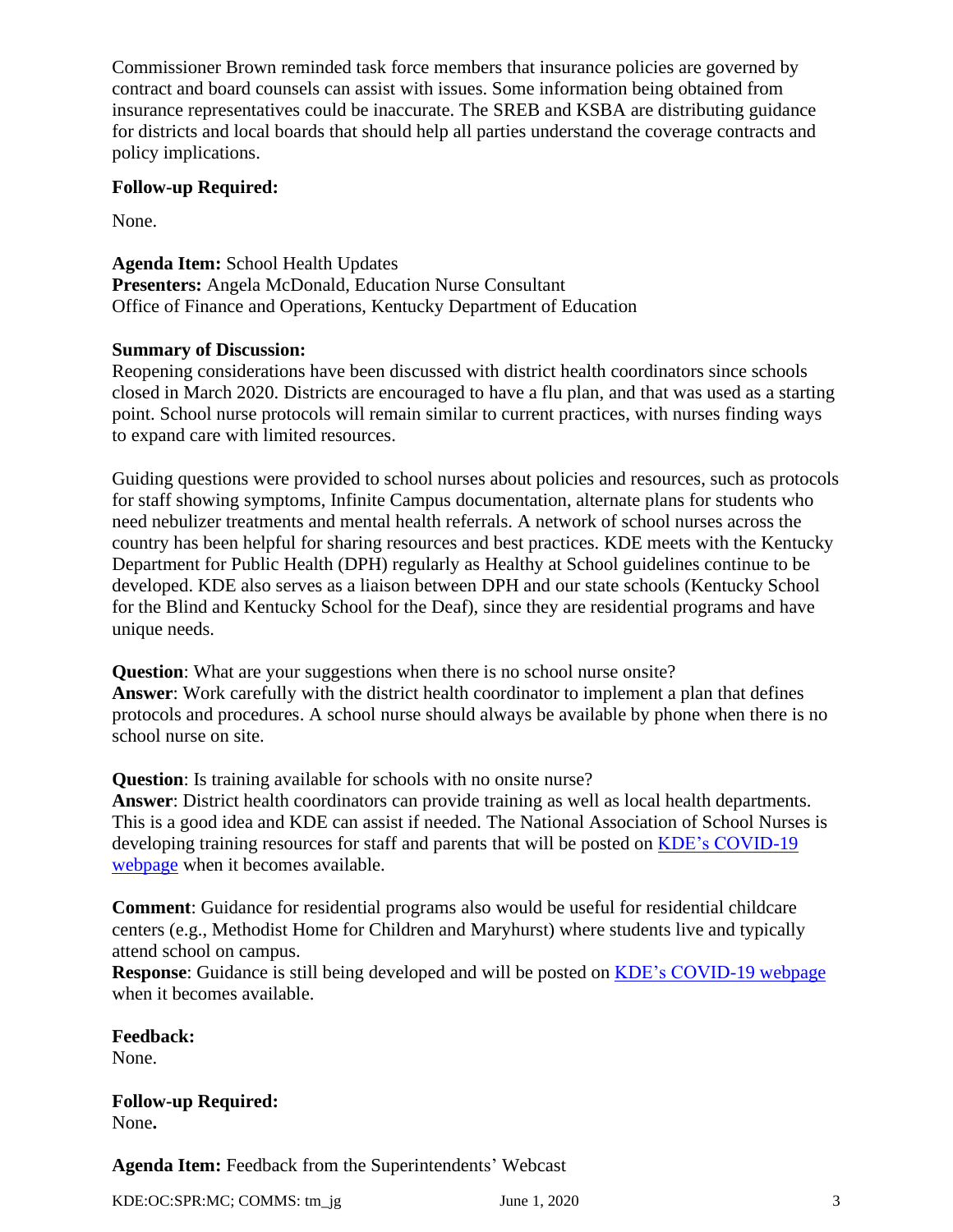Commissioner Brown reminded task force members that insurance policies are governed by contract and board counsels can assist with issues. Some information being obtained from insurance representatives could be inaccurate. The SREB and KSBA are distributing guidance for districts and local boards that should help all parties understand the coverage contracts and policy implications.

#### **Follow-up Required:**

None.

**Agenda Item:** School Health Updates **Presenters:** Angela McDonald, Education Nurse Consultant Office of Finance and Operations, Kentucky Department of Education

#### **Summary of Discussion:**

Reopening considerations have been discussed with district health coordinators since schools closed in March 2020. Districts are encouraged to have a flu plan, and that was used as a starting point. School nurse protocols will remain similar to current practices, with nurses finding ways to expand care with limited resources.

Guiding questions were provided to school nurses about policies and resources, such as protocols for staff showing symptoms, Infinite Campus documentation, alternate plans for students who need nebulizer treatments and mental health referrals. A network of school nurses across the country has been helpful for sharing resources and best practices. KDE meets with the Kentucky Department for Public Health (DPH) regularly as Healthy at School guidelines continue to be developed. KDE also serves as a liaison between DPH and our state schools (Kentucky School for the Blind and Kentucky School for the Deaf), since they are residential programs and have unique needs.

**Question**: What are your suggestions when there is no school nurse onsite? **Answer**: Work carefully with the district health coordinator to implement a plan that defines protocols and procedures. A school nurse should always be available by phone when there is no school nurse on site.

**Question**: Is training available for schools with no onsite nurse?

**Answer**: District health coordinators can provide training as well as local health departments. This is a good idea and KDE can assist if needed. The National Association of School Nurses is developing training resources for staff and parents that will be posted on [KDE's COVID-19](https://education.ky.gov/comm/Pages/COVID-19-Updates.aspx)  [webpage](https://education.ky.gov/comm/Pages/COVID-19-Updates.aspx) when it becomes available.

**Comment**: Guidance for residential programs also would be useful for residential childcare centers (e.g., Methodist Home for Children and Maryhurst) where students live and typically attend school on campus.

**Response**: Guidance is still being developed and will be posted on [KDE's COVID-19 webpage](https://education.ky.gov/comm/Pages/COVID-19-Updates.aspx) when it becomes available.

**Feedback:** None.

**Follow-up Required:** None**.**

**Agenda Item:** Feedback from the Superintendents' Webcast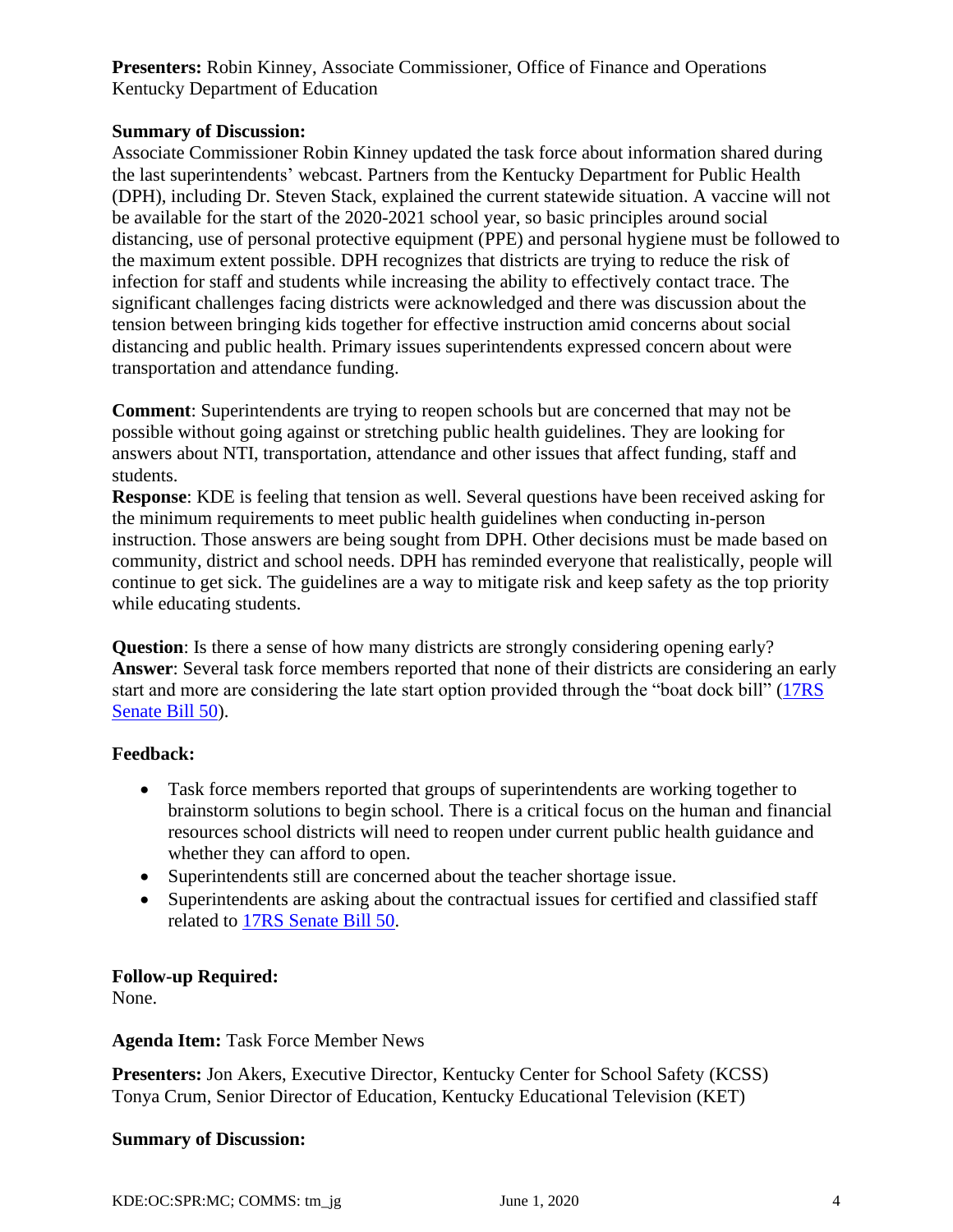**Presenters:** Robin Kinney, Associate Commissioner, Office of Finance and Operations Kentucky Department of Education

## **Summary of Discussion:**

Associate Commissioner Robin Kinney updated the task force about information shared during the last superintendents' webcast. Partners from the Kentucky Department for Public Health (DPH), including Dr. Steven Stack, explained the current statewide situation. A vaccine will not be available for the start of the 2020-2021 school year, so basic principles around social distancing, use of personal protective equipment (PPE) and personal hygiene must be followed to the maximum extent possible. DPH recognizes that districts are trying to reduce the risk of infection for staff and students while increasing the ability to effectively contact trace. The significant challenges facing districts were acknowledged and there was discussion about the tension between bringing kids together for effective instruction amid concerns about social distancing and public health. Primary issues superintendents expressed concern about were transportation and attendance funding.

**Comment**: Superintendents are trying to reopen schools but are concerned that may not be possible without going against or stretching public health guidelines. They are looking for answers about NTI, transportation, attendance and other issues that affect funding, staff and students.

**Response**: KDE is feeling that tension as well. Several questions have been received asking for the minimum requirements to meet public health guidelines when conducting in-person instruction. Those answers are being sought from DPH. Other decisions must be made based on community, district and school needs. DPH has reminded everyone that realistically, people will continue to get sick. The guidelines are a way to mitigate risk and keep safety as the top priority while educating students.

**Question**: Is there a sense of how many districts are strongly considering opening early? **Answer**: Several task force members reported that none of their districts are considering an early start and more are considering the late start option provided through the "boat dock bill" [\(17RS](https://apps.legislature.ky.gov/record/17rs/sb50.html)  [Senate Bill 50\)](https://apps.legislature.ky.gov/record/17rs/sb50.html).

## **Feedback:**

- Task force members reported that groups of superintendents are working together to brainstorm solutions to begin school. There is a critical focus on the human and financial resources school districts will need to reopen under current public health guidance and whether they can afford to open.
- Superintendents still are concerned about the teacher shortage issue.
- Superintendents are asking about the contractual issues for certified and classified staff related to [17RS Senate Bill 50.](https://apps.legislature.ky.gov/record/17rs/sb50.html)

## **Follow-up Required:**

None.

## **Agenda Item:** Task Force Member News

**Presenters:** Jon Akers, Executive Director, Kentucky Center for School Safety (KCSS) Tonya Crum, Senior Director of Education, Kentucky Educational Television (KET)

#### **Summary of Discussion:**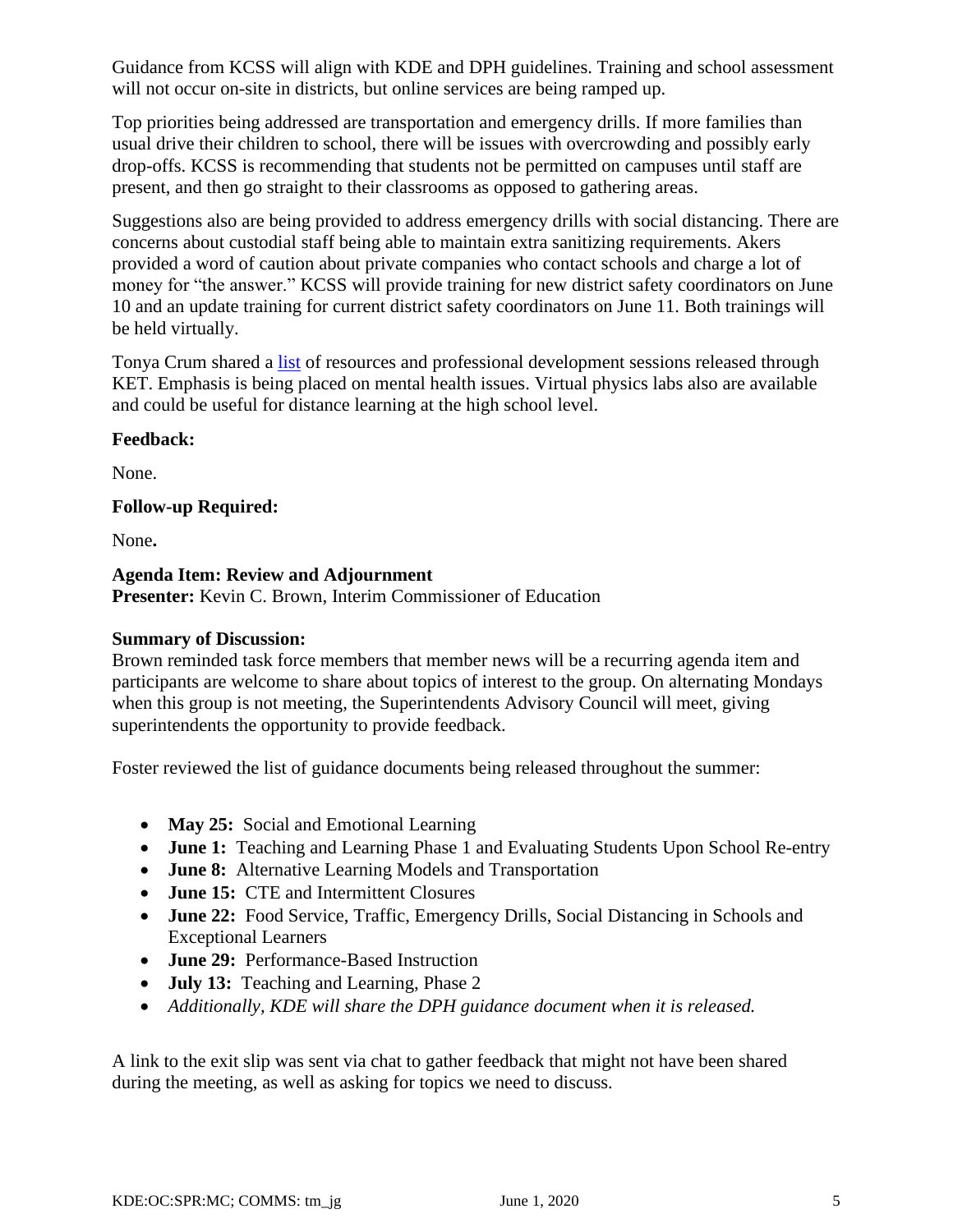Guidance from KCSS will align with KDE and DPH guidelines. Training and school assessment will not occur on-site in districts, but online services are being ramped up.

Top priorities being addressed are transportation and emergency drills. If more families than usual drive their children to school, there will be issues with overcrowding and possibly early drop-offs. KCSS is recommending that students not be permitted on campuses until staff are present, and then go straight to their classrooms as opposed to gathering areas.

Suggestions also are being provided to address emergency drills with social distancing. There are concerns about custodial staff being able to maintain extra sanitizing requirements. Akers provided a word of caution about private companies who contact schools and charge a lot of money for "the answer." KCSS will provide training for new district safety coordinators on June 10 and an update training for current district safety coordinators on June 11. Both trainings will be held virtually.

Tonya Crum shared a [list](https://education.ky.gov/CommOfEd/adv/Documents/Education%20Continuation/KET%20summer%20supports.pdf) of resources and professional development sessions released through KET. Emphasis is being placed on mental health issues. Virtual physics labs also are available and could be useful for distance learning at the high school level.

## **Feedback:**

None.

## **Follow-up Required:**

None**.**

## **Agenda Item: Review and Adjournment**

**Presenter:** Kevin C. Brown, Interim Commissioner of Education

# **Summary of Discussion:**

Brown reminded task force members that member news will be a recurring agenda item and participants are welcome to share about topics of interest to the group. On alternating Mondays when this group is not meeting, the Superintendents Advisory Council will meet, giving superintendents the opportunity to provide feedback.

Foster reviewed the list of guidance documents being released throughout the summer:

- **May 25:** Social and Emotional Learning
- **June 1:** Teaching and Learning Phase 1 and Evaluating Students Upon School Re-entry
- **June 8:** Alternative Learning Models and Transportation
- **June 15:** CTE and Intermittent Closures
- **June 22:** Food Service, Traffic, Emergency Drills, Social Distancing in Schools and Exceptional Learners
- **June 29:** Performance-Based Instruction
- **July 13:** Teaching and Learning, Phase 2
- *Additionally, KDE will share the DPH guidance document when it is released.*

A link to the exit slip was sent via chat to gather feedback that might not have been shared during the meeting, as well as asking for topics we need to discuss.